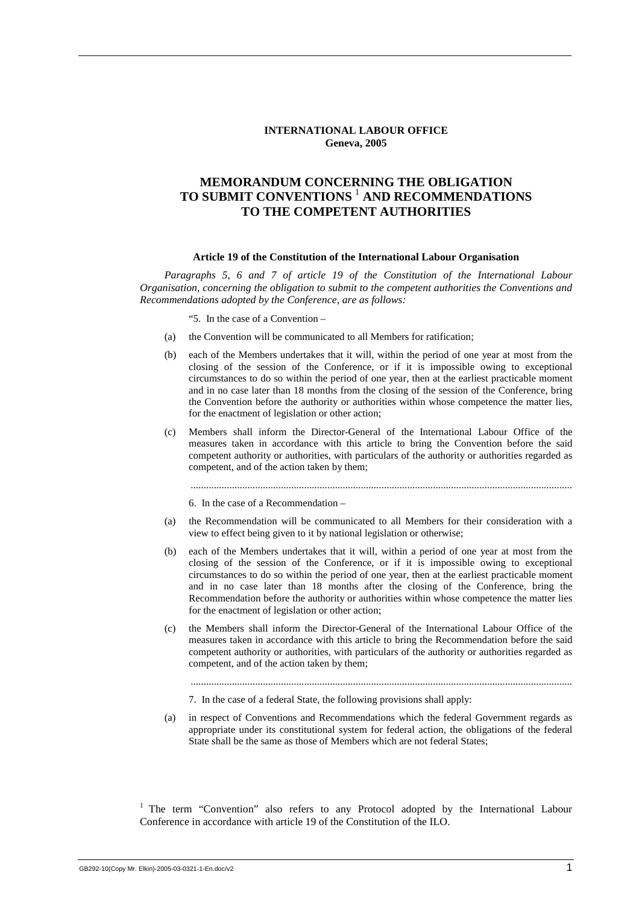### **INTERNATIONAL LABOUR OFFICE Geneva, 2005**

# **MEMORANDUM CONCERNING THE OBLIGATION TO SUBMIT CONVENTIONS** <sup>1</sup>  **AND RECOMMENDATIONS TO THE COMPETENT AUTHORITIES**

#### **Article 19 of the Constitution of the International Labour Organisation**

*Paragraphs 5, 6 and 7 of article 19 of the Constitution of the International Labour Organisation, concerning the obligation to submit to the competent authorities the Conventions and Recommendations adopted by the Conference, are as follows:* 

"5. In the case of a Convention –

- (a) the Convention will be communicated to all Members for ratification;
- (b) each of the Members undertakes that it will, within the period of one year at most from the closing of the session of the Conference, or if it is impossible owing to exceptional circumstances to do so within the period of one year, then at the earliest practicable moment and in no case later than 18 months from the closing of the session of the Conference, bring the Convention before the authority or authorities within whose competence the matter lies, for the enactment of legislation or other action;
- (c) Members shall inform the Director-General of the International Labour Office of the measures taken in accordance with this article to bring the Convention before the said competent authority or authorities, with particulars of the authority or authorities regarded as competent, and of the action taken by them;

....................................................................................................................................................

6. In the case of a Recommendation –

- (a) the Recommendation will be communicated to all Members for their consideration with a view to effect being given to it by national legislation or otherwise;
- (b) each of the Members undertakes that it will, within a period of one year at most from the closing of the session of the Conference, or if it is impossible owing to exceptional circumstances to do so within the period of one year, then at the earliest practicable moment and in no case later than 18 months after the closing of the Conference, bring the Recommendation before the authority or authorities within whose competence the matter lies for the enactment of legislation or other action;
- (c) the Members shall inform the Director-General of the International Labour Office of the measures taken in accordance with this article to bring the Recommendation before the said competent authority or authorities, with particulars of the authority or authorities regarded as competent, and of the action taken by them;

....................................................................................................................................................

7. In the case of a federal State, the following provisions shall apply:

(a) in respect of Conventions and Recommendations which the federal Government regards as appropriate under its constitutional system for federal action, the obligations of the federal State shall be the same as those of Members which are not federal States;

<sup>1</sup> The term "Convention" also refers to any Protocol adopted by the International Labour Conference in accordance with article 19 of the Constitution of the ILO.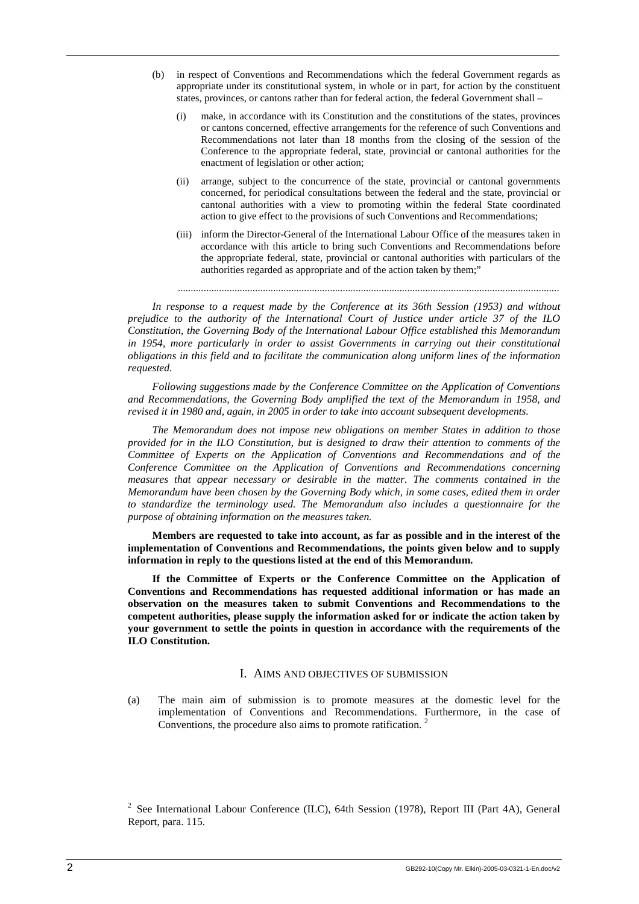- (b) in respect of Conventions and Recommendations which the federal Government regards as appropriate under its constitutional system, in whole or in part, for action by the constituent states, provinces, or cantons rather than for federal action, the federal Government shall –
	- (i) make, in accordance with its Constitution and the constitutions of the states, provinces or cantons concerned, effective arrangements for the reference of such Conventions and Recommendations not later than 18 months from the closing of the session of the Conference to the appropriate federal, state, provincial or cantonal authorities for the enactment of legislation or other action;
	- (ii) arrange, subject to the concurrence of the state, provincial or cantonal governments concerned, for periodical consultations between the federal and the state, provincial or cantonal authorities with a view to promoting within the federal State coordinated action to give effect to the provisions of such Conventions and Recommendations;
	- (iii) inform the Director-General of the International Labour Office of the measures taken in accordance with this article to bring such Conventions and Recommendations before the appropriate federal, state, provincial or cantonal authorities with particulars of the authorities regarded as appropriate and of the action taken by them;"

....................................................................................................................................................

*In response to a request made by the Conference at its 36th Session (1953) and without prejudice to the authority of the International Court of Justice under article 37 of the ILO Constitution, the Governing Body of the International Labour Office established this Memorandum in 1954, more particularly in order to assist Governments in carrying out their constitutional obligations in this field and to facilitate the communication along uniform lines of the information requested.* 

*Following suggestions made by the Conference Committee on the Application of Conventions and Recommendations, the Governing Body amplified the text of the Memorandum in 1958, and revised it in 1980 and, again, in 2005 in order to take into account subsequent developments.* 

*The Memorandum does not impose new obligations on member States in addition to those provided for in the ILO Constitution, but is designed to draw their attention to comments of the Committee of Experts on the Application of Conventions and Recommendations and of the Conference Committee on the Application of Conventions and Recommendations concerning measures that appear necessary or desirable in the matter. The comments contained in the Memorandum have been chosen by the Governing Body which, in some cases, edited them in order to standardize the terminology used. The Memorandum also includes a questionnaire for the purpose of obtaining information on the measures taken.* 

**Members are requested to take into account, as far as possible and in the interest of the implementation of Conventions and Recommendations, the points given below and to supply information in reply to the questions listed at the end of this Memorandum.** 

**If the Committee of Experts or the Conference Committee on the Application of Conventions and Recommendations has requested additional information or has made an observation on the measures taken to submit Conventions and Recommendations to the competent authorities, please supply the information asked for or indicate the action taken by your government to settle the points in question in accordance with the requirements of the ILO Constitution.** 

#### I. AIMS AND OBJECTIVES OF SUBMISSION

(a) The main aim of submission is to promote measures at the domestic level for the implementation of Conventions and Recommendations. Furthermore, in the case of Conventions, the procedure also aims to promote ratification.<sup>2</sup>

<sup>&</sup>lt;sup>2</sup> See International Labour Conference (ILC), 64th Session (1978), Report III (Part 4A), General Report, para. 115.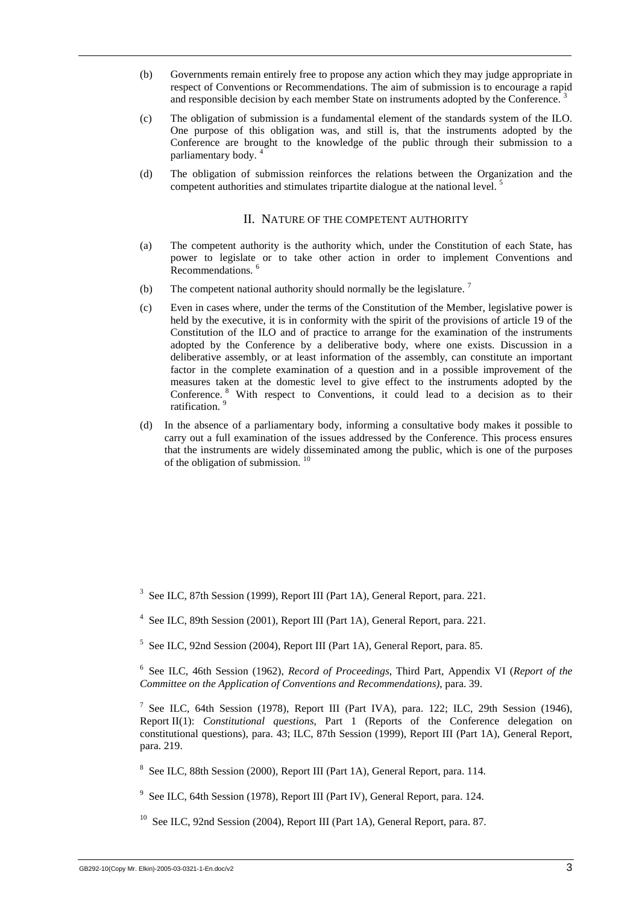- (b) Governments remain entirely free to propose any action which they may judge appropriate in respect of Conventions or Recommendations. The aim of submission is to encourage a rapid and responsible decision by each member State on instruments adopted by the Conference.<sup>3</sup>
- (c) The obligation of submission is a fundamental element of the standards system of the ILO. One purpose of this obligation was, and still is, that the instruments adopted by the Conference are brought to the knowledge of the public through their submission to a parliamentary body. <sup>4</sup>
- (d) The obligation of submission reinforces the relations between the Organization and the competent authorities and stimulates tripartite dialogue at the national level.<sup>5</sup>

# II. NATURE OF THE COMPETENT AUTHORITY

- (a) The competent authority is the authority which, under the Constitution of each State, has power to legislate or to take other action in order to implement Conventions and Recommendations.<sup>6</sup>
- (b) The competent national authority should normally be the legislature.<sup>7</sup>
- (c) Even in cases where, under the terms of the Constitution of the Member, legislative power is held by the executive, it is in conformity with the spirit of the provisions of article 19 of the Constitution of the ILO and of practice to arrange for the examination of the instruments adopted by the Conference by a deliberative body, where one exists. Discussion in a deliberative assembly, or at least information of the assembly, can constitute an important factor in the complete examination of a question and in a possible improvement of the measures taken at the domestic level to give effect to the instruments adopted by the Conference. <sup>8</sup> With respect to Conventions, it could lead to a decision as to their ratification.<sup>9</sup>
- (d) In the absence of a parliamentary body, informing a consultative body makes it possible to carry out a full examination of the issues addressed by the Conference. This process ensures that the instruments are widely disseminated among the public, which is one of the purposes of the obligation of submission. 10

6 See ILC, 46th Session (1962), *Record of Proceedings*, Third Part, Appendix VI (*Report of the Committee on the Application of Conventions and Recommendations)*, para. 39.

<sup>7</sup> See ILC, 64th Session (1978), Report III (Part IVA), para. 122; ILC, 29th Session (1946), Report II(1): *Constitutional questions*, Part 1 (Reports of the Conference delegation on constitutional questions), para. 43; ILC, 87th Session (1999), Report III (Part 1A), General Report, para. 219.

<sup>8</sup> See ILC, 88th Session (2000), Report III (Part 1A), General Report, para. 114.

<sup>9</sup> See ILC, 64th Session (1978), Report III (Part IV), General Report, para. 124.

<sup>10</sup> See ILC, 92nd Session (2004), Report III (Part 1A), General Report, para. 87.

<sup>&</sup>lt;sup>3</sup> See ILC, 87th Session (1999), Report III (Part 1A), General Report, para. 221.

<sup>&</sup>lt;sup>4</sup> See ILC, 89th Session (2001), Report III (Part 1A), General Report, para. 221.

<sup>&</sup>lt;sup>5</sup> See ILC, 92nd Session (2004), Report III (Part 1A), General Report, para. 85.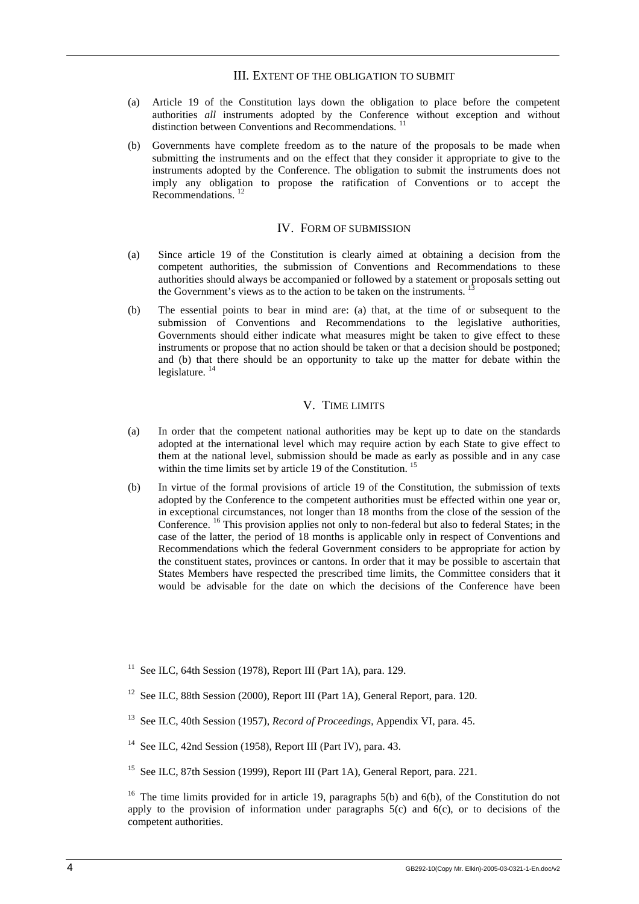## III. EXTENT OF THE OBLIGATION TO SUBMIT

- (a) Article 19 of the Constitution lays down the obligation to place before the competent authorities *all* instruments adopted by the Conference without exception and without distinction between Conventions and Recommendations.<sup>11</sup>
- (b) Governments have complete freedom as to the nature of the proposals to be made when submitting the instruments and on the effect that they consider it appropriate to give to the instruments adopted by the Conference. The obligation to submit the instruments does not imply any obligation to propose the ratification of Conventions or to accept the Recommendations.<sup>12</sup>

# IV. FORM OF SUBMISSION

- (a) Since article 19 of the Constitution is clearly aimed at obtaining a decision from the competent authorities, the submission of Conventions and Recommendations to these authorities should always be accompanied or followed by a statement or proposals setting out the Government's views as to the action to be taken on the instruments.<sup>1</sup>
- (b) The essential points to bear in mind are: (a) that, at the time of or subsequent to the submission of Conventions and Recommendations to the legislative authorities, Governments should either indicate what measures might be taken to give effect to these instruments or propose that no action should be taken or that a decision should be postponed; and (b) that there should be an opportunity to take up the matter for debate within the legislature. <sup>14</sup>

# V. TIME LIMITS

- (a) In order that the competent national authorities may be kept up to date on the standards adopted at the international level which may require action by each State to give effect to them at the national level, submission should be made as early as possible and in any case within the time limits set by article 19 of the Constitution.<sup>15</sup>
- (b) In virtue of the formal provisions of article 19 of the Constitution, the submission of texts adopted by the Conference to the competent authorities must be effected within one year or, in exceptional circumstances, not longer than 18 months from the close of the session of the Conference. 16 This provision applies not only to non-federal but also to federal States; in the case of the latter, the period of 18 months is applicable only in respect of Conventions and Recommendations which the federal Government considers to be appropriate for action by the constituent states, provinces or cantons. In order that it may be possible to ascertain that States Members have respected the prescribed time limits, the Committee considers that it would be advisable for the date on which the decisions of the Conference have been

- <sup>12</sup> See ILC, 88th Session (2000), Report III (Part 1A), General Report, para. 120.
- 13 See ILC, 40th Session (1957), *Record of Proceedings*, Appendix VI, para. 45.
- <sup>14</sup> See ILC, 42nd Session (1958), Report III (Part IV), para. 43.
- <sup>15</sup> See ILC, 87th Session (1999), Report III (Part 1A), General Report, para. 221.

<sup>&</sup>lt;sup>11</sup> See ILC, 64th Session (1978), Report III (Part 1A), para. 129.

<sup>&</sup>lt;sup>16</sup> The time limits provided for in article 19, paragraphs  $5(b)$  and  $6(b)$ , of the Constitution do not apply to the provision of information under paragraphs  $5(c)$  and  $6(c)$ , or to decisions of the competent authorities.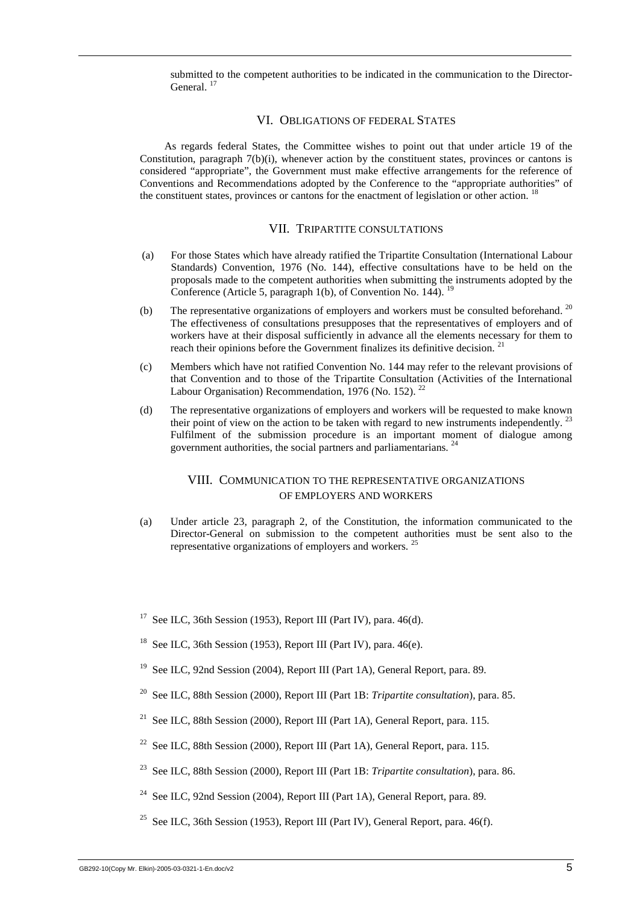submitted to the competent authorities to be indicated in the communication to the Director-General.<sup>17</sup>

## VI. OBLIGATIONS OF FEDERAL STATES

As regards federal States, the Committee wishes to point out that under article 19 of the Constitution, paragraph 7(b)(i), whenever action by the constituent states, provinces or cantons is considered "appropriate", the Government must make effective arrangements for the reference of Conventions and Recommendations adopted by the Conference to the "appropriate authorities" of the constituent states, provinces or cantons for the enactment of legislation or other action. <sup>18</sup>

# VII. TRIPARTITE CONSULTATIONS

- (a) For those States which have already ratified the Tripartite Consultation (International Labour Standards) Convention, 1976 (No. 144), effective consultations have to be held on the proposals made to the competent authorities when submitting the instruments adopted by the Conference (Article 5, paragraph 1(b), of Convention No.  $144$ ). <sup>19</sup>
- (b) The representative organizations of employers and workers must be consulted beforehand.  $20$ The effectiveness of consultations presupposes that the representatives of employers and of workers have at their disposal sufficiently in advance all the elements necessary for them to reach their opinions before the Government finalizes its definitive decision.<sup>21</sup>
- (c) Members which have not ratified Convention No. 144 may refer to the relevant provisions of that Convention and to those of the Tripartite Consultation (Activities of the International Labour Organisation) Recommendation, 1976 (No. 152).  $^{22}$
- (d) The representative organizations of employers and workers will be requested to make known their point of view on the action to be taken with regard to new instruments independently.<sup>2</sup> Fulfilment of the submission procedure is an important moment of dialogue among government authorities, the social partners and parliamentarians.<sup>2</sup>

# VIII. COMMUNICATION TO THE REPRESENTATIVE ORGANIZATIONS OF EMPLOYERS AND WORKERS

- (a) Under article 23, paragraph 2, of the Constitution, the information communicated to the Director-General on submission to the competent authorities must be sent also to the representative organizations of employers and workers. <sup>25</sup>
- <sup>17</sup> See ILC, 36th Session (1953), Report III (Part IV), para. 46(d).
- <sup>18</sup> See ILC, 36th Session (1953), Report III (Part IV), para. 46(e).
- <sup>19</sup> See ILC, 92nd Session (2004), Report III (Part 1A), General Report, para. 89.
- 20 See ILC, 88th Session (2000), Report III (Part 1B: *Tripartite consultation*), para. 85.
- <sup>21</sup> See ILC, 88th Session (2000), Report III (Part 1A), General Report, para. 115.
- <sup>22</sup> See ILC, 88th Session (2000), Report III (Part 1A), General Report, para. 115.
- 23 See ILC, 88th Session (2000), Report III (Part 1B: *Tripartite consultation*), para. 86.
- <sup>24</sup> See ILC, 92nd Session (2004), Report III (Part 1A), General Report, para. 89.
- <sup>25</sup> See ILC, 36th Session (1953), Report III (Part IV), General Report, para.  $46(f)$ .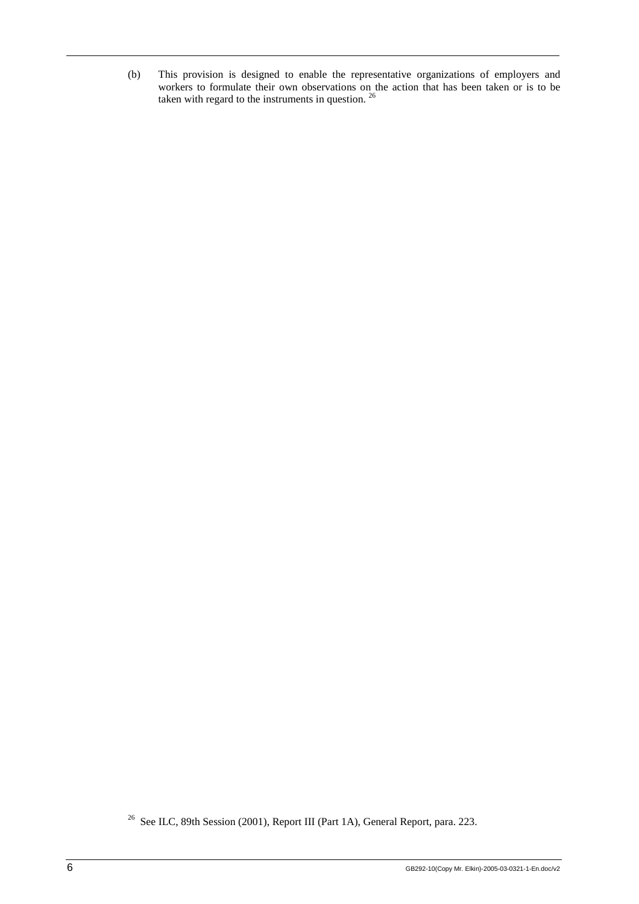(b) This provision is designed to enable the representative organizations of employers and workers to formulate their own observations on the action that has been taken or is to be taken with regard to the instruments in question.  $26$ 

<sup>&</sup>lt;sup>26</sup> See ILC, 89th Session (2001), Report III (Part 1A), General Report, para. 223.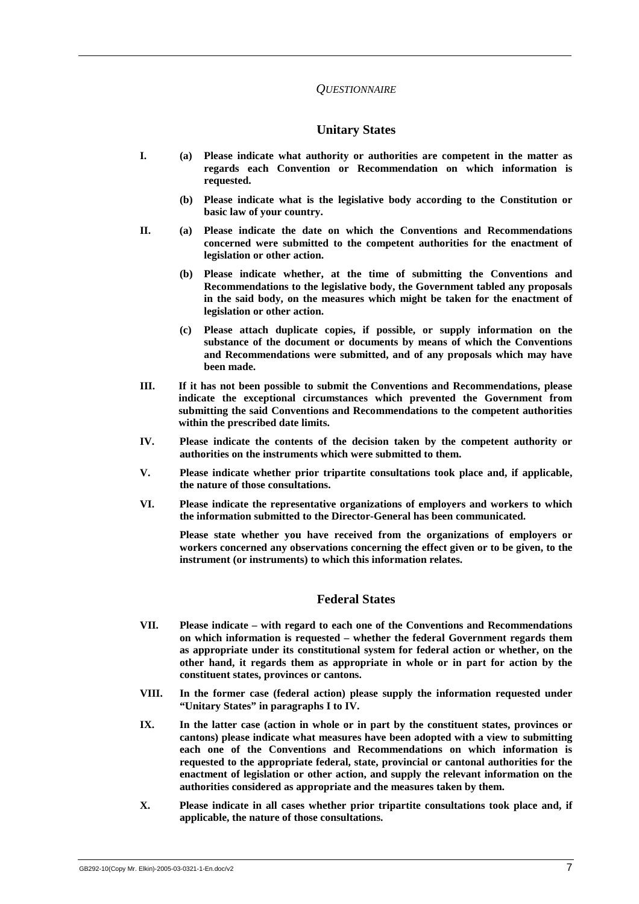## *QUESTIONNAIRE*

## **Unitary States**

- **I. (a) Please indicate what authority or authorities are competent in the matter as regards each Convention or Recommendation on which information is requested.** 
	- **(b) Please indicate what is the legislative body according to the Constitution or basic law of your country.**
- **II. (a) Please indicate the date on which the Conventions and Recommendations concerned were submitted to the competent authorities for the enactment of legislation or other action.** 
	- **(b) Please indicate whether, at the time of submitting the Conventions and Recommendations to the legislative body, the Government tabled any proposals in the said body, on the measures which might be taken for the enactment of legislation or other action.**
	- **(c) Please attach duplicate copies, if possible, or supply information on the substance of the document or documents by means of which the Conventions and Recommendations were submitted, and of any proposals which may have been made.**
- **III. If it has not been possible to submit the Conventions and Recommendations, please indicate the exceptional circumstances which prevented the Government from submitting the said Conventions and Recommendations to the competent authorities within the prescribed date limits.**
- **IV. Please indicate the contents of the decision taken by the competent authority or authorities on the instruments which were submitted to them.**
- **V. Please indicate whether prior tripartite consultations took place and, if applicable, the nature of those consultations.**
- **VI. Please indicate the representative organizations of employers and workers to which the information submitted to the Director-General has been communicated.**

 **Please state whether you have received from the organizations of employers or workers concerned any observations concerning the effect given or to be given, to the instrument (or instruments) to which this information relates.** 

## **Federal States**

- **VII. Please indicate with regard to each one of the Conventions and Recommendations on which information is requested – whether the federal Government regards them as appropriate under its constitutional system for federal action or whether, on the other hand, it regards them as appropriate in whole or in part for action by the constituent states, provinces or cantons.**
- **VIII. In the former case (federal action) please supply the information requested under "Unitary States" in paragraphs I to IV.**
- **IX. In the latter case (action in whole or in part by the constituent states, provinces or cantons) please indicate what measures have been adopted with a view to submitting each one of the Conventions and Recommendations on which information is requested to the appropriate federal, state, provincial or cantonal authorities for the enactment of legislation or other action, and supply the relevant information on the authorities considered as appropriate and the measures taken by them.**
- **X. Please indicate in all cases whether prior tripartite consultations took place and, if applicable, the nature of those consultations.**